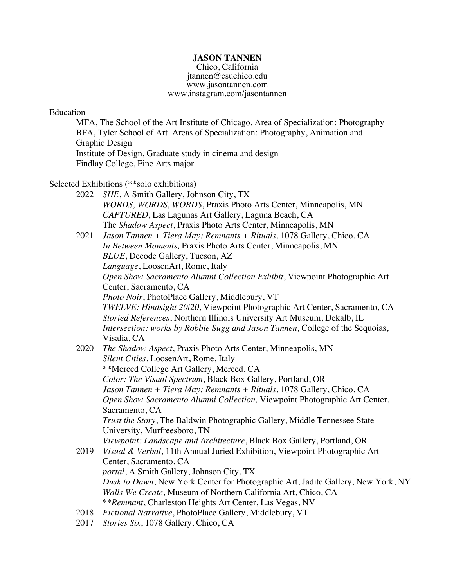### **JASON TANNEN**

Chico, California jtannen@csuchico.edu www.jasontannen.com www.instagram.com/jasontannen

### Education

MFA, The School of the Art Institute of Chicago. Area of Specialization: Photography BFA, Tyler School of Art. Areas of Specialization: Photography, Animation and Graphic Design Institute of Design, Graduate study in cinema and design Findlay College, Fine Arts major

Selected Exhibitions (\*\*solo exhibitions)

2022 *SHE*, A Smith Gallery, Johnson City, TX *WORDS, WORDS, WORDS*, Praxis Photo Arts Center, Minneapolis, MN *CAPTURED*, Las Lagunas Art Gallery, Laguna Beach, CA The *Shadow Aspect*, Praxis Photo Arts Center, Minneapolis, MN

2021 *Jason Tannen + Tiera May: Remnants + Rituals*, 1078 Gallery, Chico, CA *In Between Moments,* Praxis Photo Arts Center, Minneapolis, MN *BLUE*, Decode Gallery, Tucson, AZ *Language*, LoosenArt, Rome, Italy *Open Show Sacramento Alumni Collection Exhibit*, Viewpoint Photographic Art Center, Sacramento, CA *Photo Noir*, PhotoPlace Gallery, Middlebury, VT *TWELVE: Hindsight 20|20*, Viewpoint Photographic Art Center, Sacramento, CA *Storied References*, Northern Illinois University Art Museum, Dekalb, IL *Intersection: works by Robbie Sugg and Jason Tannen*, College of the Sequoias, Visalia, CA

- 2020 *The Shadow Aspect*, Praxis Photo Arts Center, Minneapolis, MN *Silent Cities*, LoosenArt, Rome, Italy \*\*Merced College Art Gallery, Merced, CA *Color: The Visual Spectrum*, Black Box Gallery, Portland, OR *Jason Tannen + Tiera May: Remnants + Rituals*, 1078 Gallery, Chico, CA *Open Show Sacramento Alumni Collection,* Viewpoint Photographic Art Center, Sacramento, CA *Trust the Story*, The Baldwin Photographic Gallery, Middle Tennessee State University, Murfreesboro, TN *Viewpoint: Landscape and Architecture*, Black Box Gallery, Portland, OR 2019 *Visual & Verbal*, 11th Annual Juried Exhibition, Viewpoint Photographic Art Center, Sacramento, CA *portal*, A Smith Gallery, Johnson City, TX *Dusk to Dawn*, New York Center for Photographic Art, Jadite Gallery, New York, NY
	- *Walls We Create*, Museum of Northern California Art, Chico, CA
	- \**\*Remnant*, Charleston Heights Art Center, Las Vegas, NV
- 2018 *Fictional Narrative*, PhotoPlace Gallery, Middlebury, VT
- 2017 *Stories Six*, 1078 Gallery, Chico, CA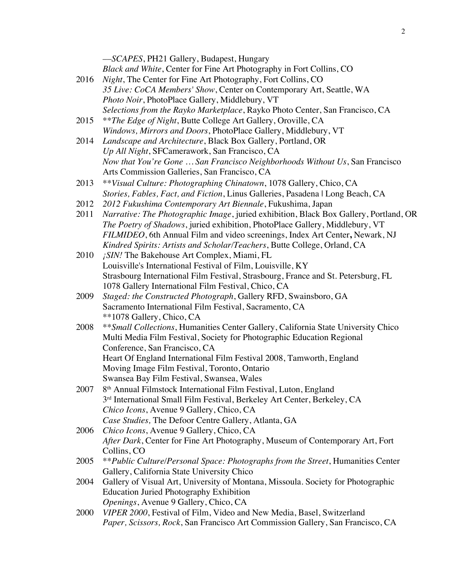|      | -SCAPES, PH21 Gallery, Budapest, Hungary                                              |
|------|---------------------------------------------------------------------------------------|
|      | Black and White, Center for Fine Art Photography in Fort Collins, CO                  |
| 2016 | Night, The Center for Fine Art Photography, Fort Collins, CO                          |
|      | 35 Live: CoCA Members' Show, Center on Contemporary Art, Seattle, WA                  |
|      | Photo Noir, PhotoPlace Gallery, Middlebury, VT                                        |
|      | Selections from the Rayko Marketplace, Rayko Photo Center, San Francisco, CA          |
| 2015 | <i>**The Edge of Night</i> , Butte College Art Gallery, Oroville, CA                  |
|      | Windows, Mirrors and Doors, PhotoPlace Gallery, Middlebury, VT                        |
| 2014 | Landscape and Architecture, Black Box Gallery, Portland, OR                           |
|      | Up All Night, SFCamerawork, San Francisco, CA                                         |
|      | Now that You're Gone  San Francisco Neighborhoods Without Us, San Francisco           |
|      | Arts Commission Galleries, San Francisco, CA                                          |
| 2013 | **Visual Culture: Photographing Chinatown, 1078 Gallery, Chico, CA                    |
|      | Stories, Fables, Fact, and Fiction, Linus Galleries, Pasadena   Long Beach, CA        |
| 2012 | 2012 Fukushima Contemporary Art Biennale, Fukushima, Japan                            |
| 2011 | Narrative: The Photographic Image, juried exhibition, Black Box Gallery, Portland, OR |
|      | The Poetry of Shadows, juried exhibition, PhotoPlace Gallery, Middlebury, VT          |
|      | FILMIDEO, 6th Annual Film and video screenings, Index Art Center, Newark, NJ          |
|      | Kindred Spirits: Artists and Scholar/Teachers, Butte College, Orland, CA              |
| 2010 | ¡SIN! The Bakehouse Art Complex, Miami, FL                                            |
|      | Louisville's International Festival of Film, Louisville, KY                           |
|      | Strasbourg International Film Festival, Strasbourg, France and St. Petersburg, FL     |
|      | 1078 Gallery International Film Festival, Chico, CA                                   |
| 2009 | Staged: the Constructed Photograph, Gallery RFD, Swainsboro, GA                       |
|      | Sacramento International Film Festival, Sacramento, CA                                |
|      | **1078 Gallery, Chico, CA                                                             |
| 2008 | ** Small Collections, Humanities Center Gallery, California State University Chico    |
|      | Multi Media Film Festival, Society for Photographic Education Regional                |
|      | Conference, San Francisco, CA                                                         |
|      | Heart Of England International Film Festival 2008, Tamworth, England                  |
|      | Moving Image Film Festival, Toronto, Ontario                                          |
|      | Swansea Bay Film Festival, Swansea, Wales                                             |
| 2007 | 8 <sup>th</sup> Annual Filmstock International Film Festival, Luton, England          |
|      | 3rd International Small Film Festival, Berkeley Art Center, Berkeley, CA              |
|      | Chico Icons, Avenue 9 Gallery, Chico, CA                                              |
|      | Case Studies, The Defoor Centre Gallery, Atlanta, GA                                  |
| 2006 | Chico Icons, Avenue 9 Gallery, Chico, CA                                              |
|      | After Dark, Center for Fine Art Photography, Museum of Contemporary Art, Fort         |
|      | Collins, CO                                                                           |
| 2005 | ** Public Culture/Personal Space: Photographs from the Street, Humanities Center      |
|      | Gallery, California State University Chico                                            |
| 2004 | Gallery of Visual Art, University of Montana, Missoula. Society for Photographic      |
|      | <b>Education Juried Photography Exhibition</b>                                        |
|      | Openings, Avenue 9 Gallery, Chico, CA                                                 |
| 2000 | VIPER 2000, Festival of Film, Video and New Media, Basel, Switzerland                 |
|      | Paper, Scissors, Rock, San Francisco Art Commission Gallery, San Francisco, CA        |

2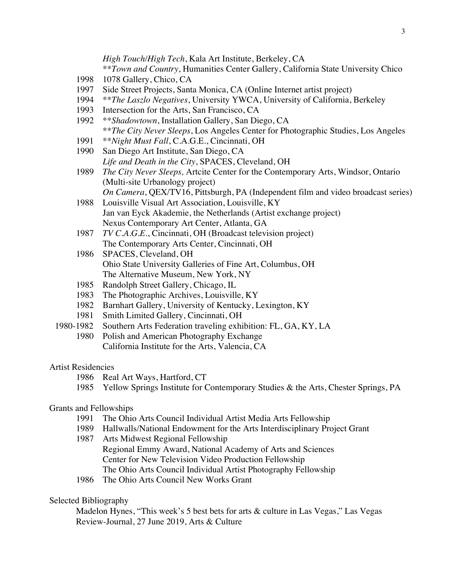*High Touch/High Tech*, Kala Art Institute, Berkeley, CA

\*\**Town and Country*, Humanities Center Gallery, California State University Chico

- 1998 1078 Gallery, Chico, CA
- 1997 Side Street Projects, Santa Monica, CA (Online Internet artist project)
- 1994 \*\**The Laszlo Negatives*, University YWCA, University of California, Berkeley
- Intersection for the Arts, San Francisco, CA
- 1992 \*\**Shadowtown*, Installation Gallery, San Diego, CA \*\**The City Never Sleeps*, Los Angeles Center for Photographic Studies, Los Angeles
- 1991 \*\**Night Must Fall*, C.A.G.E., Cincinnati, OH
- 1990 San Diego Art Institute, San Diego, CA *Life and Death in the City*, SPACES, Cleveland, OH
- 1989 *The City Never Sleeps,* Artcite Center for the Contemporary Arts, Windsor, Ontario (Multi-site Urbanology project) *On Camera*, QEX/TV16, Pittsburgh, PA (Independent film and video broadcast series)
- 1988 Louisville Visual Art Association, Louisville, KY Jan van Eyck Akademie, the Netherlands (Artist exchange project) Nexus Contemporary Art Center, Atlanta, GA
- 1987 *TV C.A.G.E.*, Cincinnati, OH (Broadcast television project) The Contemporary Arts Center, Cincinnati, OH
- 1986 SPACES, Cleveland, OH Ohio State University Galleries of Fine Art, Columbus, OH The Alternative Museum, New York, NY
- 1985 Randolph Street Gallery, Chicago, IL
- 1983 The Photographic Archives, Louisville, KY
- 1982 Barnhart Gallery, University of Kentucky, Lexington, KY
- 1981 Smith Limited Gallery, Cincinnati, OH
- 1980-1982 Southern Arts Federation traveling exhibition: FL, GA, KY, LA
	- 1980 Polish and American Photography Exchange California Institute for the Arts, Valencia, CA

# Artist Residencies

- 1986 Real Art Ways, Hartford, CT
- 1985 Yellow Springs Institute for Contemporary Studies & the Arts, Chester Springs, PA

# Grants and Fellowships

- 1991 The Ohio Arts Council Individual Artist Media Arts Fellowship
- 1989 Hallwalls/National Endowment for the Arts Interdisciplinary Project Grant
- 1987 Arts Midwest Regional Fellowship Regional Emmy Award, National Academy of Arts and Sciences Center for New Television Video Production Fellowship The Ohio Arts Council Individual Artist Photography Fellowship
- 1986 The Ohio Arts Council New Works Grant

# Selected Bibliography

Madelon Hynes, "This week's 5 best bets for arts & culture in Las Vegas," Las Vegas Review-Journal, 27 June 2019, Arts & Culture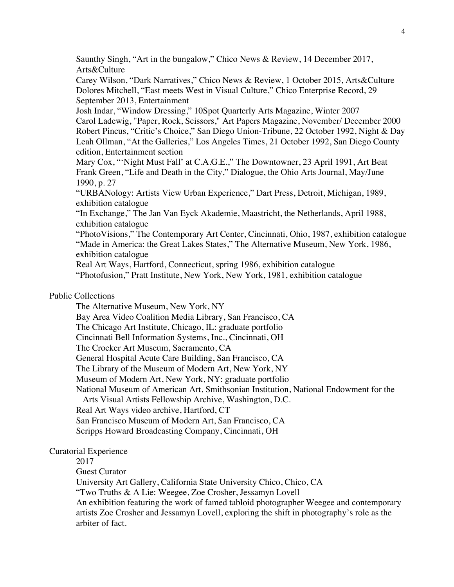Saunthy Singh, "Art in the bungalow," Chico News & Review, 14 December 2017, Arts&Culture Carey Wilson, "Dark Narratives," Chico News & Review, 1 October 2015, Arts&Culture Dolores Mitchell, "East meets West in Visual Culture," Chico Enterprise Record, 29 September 2013, Entertainment Josh Indar, "Window Dressing," 10Spot Quarterly Arts Magazine, Winter 2007 Carol Ladewig, "Paper, Rock, Scissors," Art Papers Magazine, November/ December 2000 Robert Pincus, "Critic's Choice," San Diego Union-Tribune, 22 October 1992, Night & Day Leah Ollman, "At the Galleries," Los Angeles Times, 21 October 1992, San Diego County edition, Entertainment section Mary Cox, "'Night Must Fall' at C.A.G.E.," The Downtowner, 23 April 1991, Art Beat Frank Green, "Life and Death in the City," Dialogue, the Ohio Arts Journal, May/June 1990, p. 27 "URBANology: Artists View Urban Experience," Dart Press, Detroit, Michigan, 1989, exhibition catalogue "In Exchange," The Jan Van Eyck Akademie, Maastricht, the Netherlands, April 1988, exhibition catalogue "PhotoVisions," The Contemporary Art Center, Cincinnati, Ohio, 1987, exhibition catalogue "Made in America: the Great Lakes States," The Alternative Museum, New York, 1986, exhibition catalogue Real Art Ways, Hartford, Connecticut, spring 1986, exhibition catalogue "Photofusion," Pratt Institute, New York, New York, 1981, exhibition catalogue Public Collections The Alternative Museum, New York, NY Bay Area Video Coalition Media Library, San Francisco, CA The Chicago Art Institute, Chicago, IL: graduate portfolio Cincinnati Bell Information Systems, Inc., Cincinnati, OH The Crocker Art Museum, Sacramento, CA General Hospital Acute Care Building, San Francisco, CA The Library of the Museum of Modern Art, New York, NY Museum of Modern Art, New York, NY: graduate portfolio National Museum of American Art, Smithsonian Institution, National Endowment for the Arts Visual Artists Fellowship Archive, Washington, D.C. Real Art Ways video archive, Hartford, CT San Francisco Museum of Modern Art, San Francisco, CA Scripps Howard Broadcasting Company, Cincinnati, OH

#### Curatorial Experience

2017

Guest Curator

University Art Gallery, California State University Chico, Chico, CA

"Two Truths & A Lie: Weegee, Zoe Crosher, Jessamyn Lovell

An exhibition featuring the work of famed tabloid photographer Weegee and contemporary artists Zoe Crosher and Jessamyn Lovell, exploring the shift in photography's role as the arbiter of fact.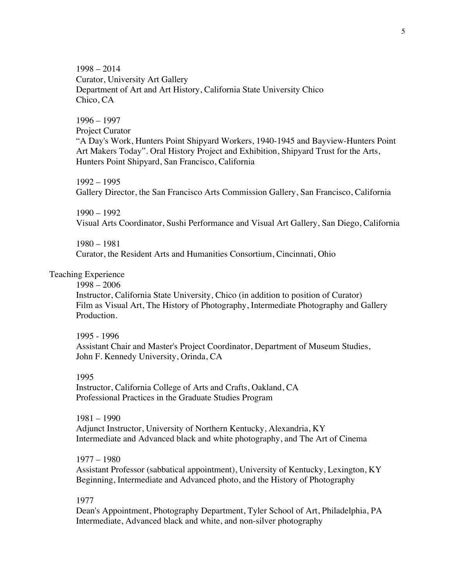1998 – 2014 Curator, University Art Gallery Department of Art and Art History, California State University Chico Chico, CA

1996 – 1997

Project Curator

"A Day's Work, Hunters Point Shipyard Workers, 1940-1945 and Bayview-Hunters Point Art Makers Today". Oral History Project and Exhibition, Shipyard Trust for the Arts, Hunters Point Shipyard, San Francisco, California

1992 – 1995

Gallery Director, the San Francisco Arts Commission Gallery, San Francisco, California

1990 – 1992

Visual Arts Coordinator, Sushi Performance and Visual Art Gallery, San Diego, California

1980 – 1981 Curator, the Resident Arts and Humanities Consortium, Cincinnati, Ohio

# Teaching Experience

1998 – 2006

Instructor, California State University, Chico (in addition to position of Curator) Film as Visual Art, The History of Photography, Intermediate Photography and Gallery **Production** 

#### 1995 - 1996

Assistant Chair and Master's Project Coordinator, Department of Museum Studies, John F. Kennedy University, Orinda, CA

#### 1995

Instructor, California College of Arts and Crafts, Oakland, CA Professional Practices in the Graduate Studies Program

1981 – 1990 Adjunct Instructor, University of Northern Kentucky, Alexandria, KY Intermediate and Advanced black and white photography, and The Art of Cinema

## 1977 – 1980

Assistant Professor (sabbatical appointment), University of Kentucky, Lexington, KY Beginning, Intermediate and Advanced photo, and the History of Photography

#### 1977

Dean's Appointment, Photography Department, Tyler School of Art, Philadelphia, PA Intermediate, Advanced black and white, and non-silver photography